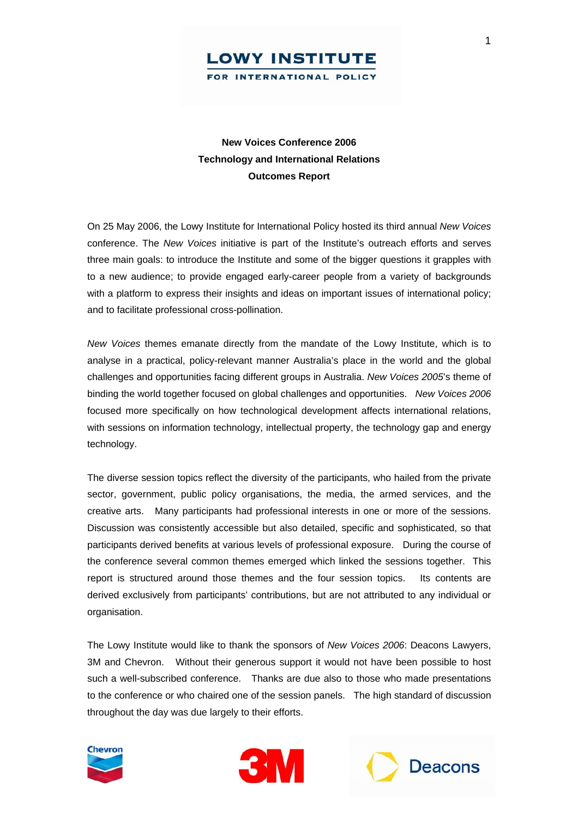

## **New Voices Conference 2006 Technology and International Relations Outcomes Report**

On 25 May 2006, the Lowy Institute for International Policy hosted its third annual *New Voices*  conference. The *New Voices* initiative is part of the Institute's outreach efforts and serves three main goals: to introduce the Institute and some of the bigger questions it grapples with to a new audience; to provide engaged early-career people from a variety of backgrounds with a platform to express their insights and ideas on important issues of international policy; and to facilitate professional cross-pollination.

*New Voices* themes emanate directly from the mandate of the Lowy Institute, which is to analyse in a practical, policy-relevant manner Australia's place in the world and the global challenges and opportunities facing different groups in Australia. *New Voices 2005*'s theme of binding the world together focused on global challenges and opportunities. *New Voices 2006* focused more specifically on how technological development affects international relations, with sessions on information technology, intellectual property, the technology gap and energy technology.

The diverse session topics reflect the diversity of the participants, who hailed from the private sector, government, public policy organisations, the media, the armed services, and the creative arts. Many participants had professional interests in one or more of the sessions. Discussion was consistently accessible but also detailed, specific and sophisticated, so that participants derived benefits at various levels of professional exposure. During the course of the conference several common themes emerged which linked the sessions together. This report is structured around those themes and the four session topics. Its contents are derived exclusively from participants' contributions, but are not attributed to any individual or organisation.

The Lowy Institute would like to thank the sponsors of *New Voices 2006*: Deacons Lawyers, 3M and Chevron. Without their generous support it would not have been possible to host such a well-subscribed conference. Thanks are due also to those who made presentations to the conference or who chaired one of the session panels. The high standard of discussion throughout the day was due largely to their efforts.





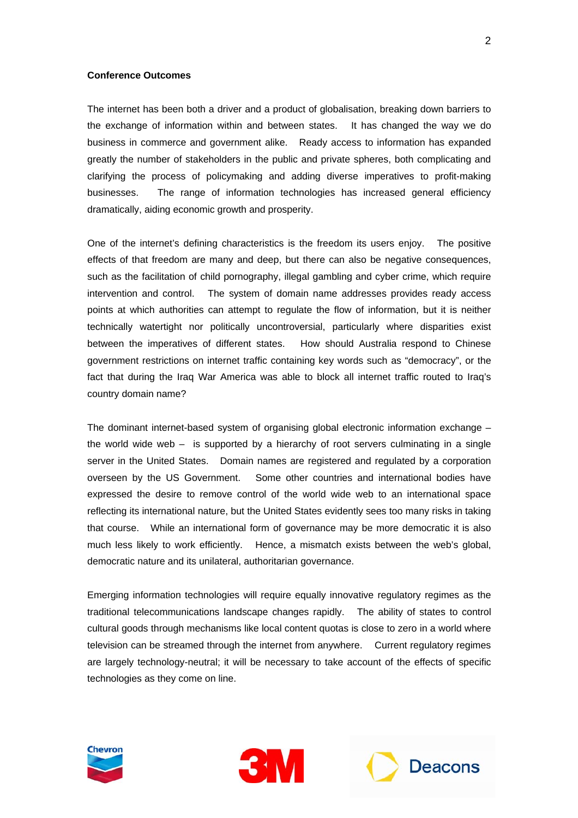## **Conference Outcomes**

The internet has been both a driver and a product of globalisation, breaking down barriers to the exchange of information within and between states. It has changed the way we do business in commerce and government alike. Ready access to information has expanded greatly the number of stakeholders in the public and private spheres, both complicating and clarifying the process of policymaking and adding diverse imperatives to profit-making businesses. The range of information technologies has increased general efficiency dramatically, aiding economic growth and prosperity.

One of the internet's defining characteristics is the freedom its users enjoy. The positive effects of that freedom are many and deep, but there can also be negative consequences, such as the facilitation of child pornography, illegal gambling and cyber crime, which require intervention and control. The system of domain name addresses provides ready access points at which authorities can attempt to regulate the flow of information, but it is neither technically watertight nor politically uncontroversial, particularly where disparities exist between the imperatives of different states. How should Australia respond to Chinese government restrictions on internet traffic containing key words such as "democracy", or the fact that during the Iraq War America was able to block all internet traffic routed to Iraq's country domain name?

The dominant internet-based system of organising global electronic information exchange – the world wide web – is supported by a hierarchy of root servers culminating in a single server in the United States. Domain names are registered and regulated by a corporation overseen by the US Government. Some other countries and international bodies have expressed the desire to remove control of the world wide web to an international space reflecting its international nature, but the United States evidently sees too many risks in taking that course. While an international form of governance may be more democratic it is also much less likely to work efficiently. Hence, a mismatch exists between the web's global, democratic nature and its unilateral, authoritarian governance.

Emerging information technologies will require equally innovative regulatory regimes as the traditional telecommunications landscape changes rapidly. The ability of states to control cultural goods through mechanisms like local content quotas is close to zero in a world where television can be streamed through the internet from anywhere. Current regulatory regimes are largely technology-neutral; it will be necessary to take account of the effects of specific technologies as they come on line.





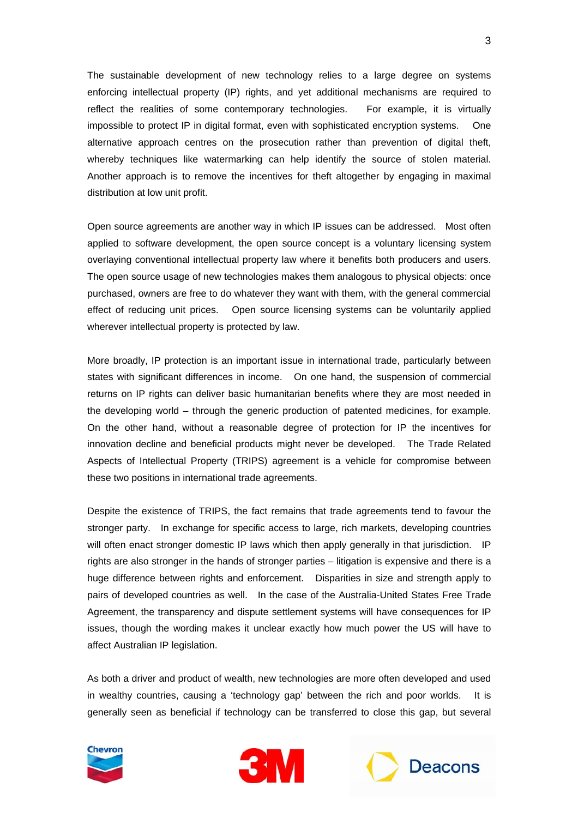The sustainable development of new technology relies to a large degree on systems enforcing intellectual property (IP) rights, and yet additional mechanisms are required to reflect the realities of some contemporary technologies. For example, it is virtually impossible to protect IP in digital format, even with sophisticated encryption systems. One alternative approach centres on the prosecution rather than prevention of digital theft, whereby techniques like watermarking can help identify the source of stolen material. Another approach is to remove the incentives for theft altogether by engaging in maximal distribution at low unit profit.

Open source agreements are another way in which IP issues can be addressed. Most often applied to software development, the open source concept is a voluntary licensing system overlaying conventional intellectual property law where it benefits both producers and users. The open source usage of new technologies makes them analogous to physical objects: once purchased, owners are free to do whatever they want with them, with the general commercial effect of reducing unit prices. Open source licensing systems can be voluntarily applied wherever intellectual property is protected by law.

More broadly, IP protection is an important issue in international trade, particularly between states with significant differences in income. On one hand, the suspension of commercial returns on IP rights can deliver basic humanitarian benefits where they are most needed in the developing world – through the generic production of patented medicines, for example. On the other hand, without a reasonable degree of protection for IP the incentives for innovation decline and beneficial products might never be developed. The Trade Related Aspects of Intellectual Property (TRIPS) agreement is a vehicle for compromise between these two positions in international trade agreements.

Despite the existence of TRIPS, the fact remains that trade agreements tend to favour the stronger party. In exchange for specific access to large, rich markets, developing countries will often enact stronger domestic IP laws which then apply generally in that jurisdiction. IP rights are also stronger in the hands of stronger parties – litigation is expensive and there is a huge difference between rights and enforcement. Disparities in size and strength apply to pairs of developed countries as well. In the case of the Australia-United States Free Trade Agreement, the transparency and dispute settlement systems will have consequences for IP issues, though the wording makes it unclear exactly how much power the US will have to affect Australian IP legislation.

As both a driver and product of wealth, new technologies are more often developed and used in wealthy countries, causing a 'technology gap' between the rich and poor worlds. It is generally seen as beneficial if technology can be transferred to close this gap, but several





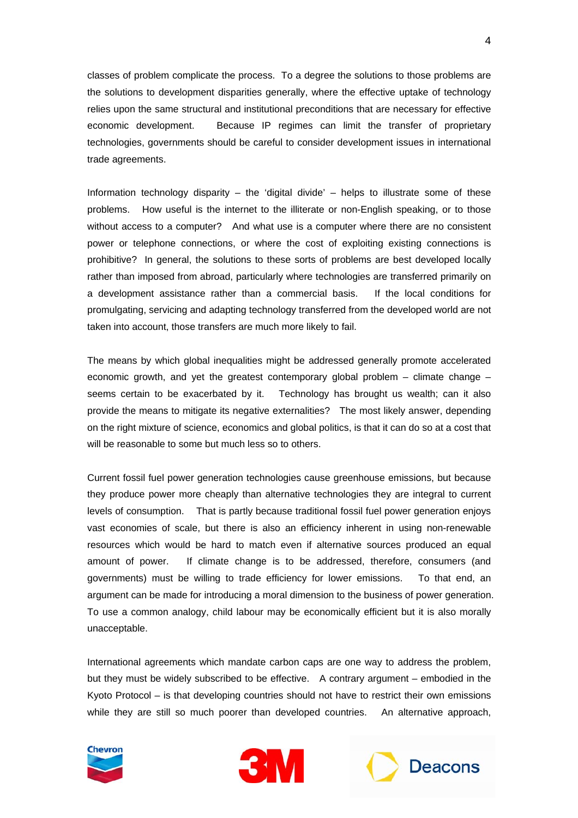classes of problem complicate the process. To a degree the solutions to those problems are the solutions to development disparities generally, where the effective uptake of technology relies upon the same structural and institutional preconditions that are necessary for effective economic development. Because IP regimes can limit the transfer of proprietary technologies, governments should be careful to consider development issues in international trade agreements.

Information technology disparity – the 'digital divide' – helps to illustrate some of these problems. How useful is the internet to the illiterate or non-English speaking, or to those without access to a computer? And what use is a computer where there are no consistent power or telephone connections, or where the cost of exploiting existing connections is prohibitive? In general, the solutions to these sorts of problems are best developed locally rather than imposed from abroad, particularly where technologies are transferred primarily on a development assistance rather than a commercial basis. If the local conditions for promulgating, servicing and adapting technology transferred from the developed world are not taken into account, those transfers are much more likely to fail.

The means by which global inequalities might be addressed generally promote accelerated economic growth, and yet the greatest contemporary global problem – climate change – seems certain to be exacerbated by it. Technology has brought us wealth; can it also provide the means to mitigate its negative externalities? The most likely answer, depending on the right mixture of science, economics and global politics, is that it can do so at a cost that will be reasonable to some but much less so to others.

Current fossil fuel power generation technologies cause greenhouse emissions, but because they produce power more cheaply than alternative technologies they are integral to current levels of consumption. That is partly because traditional fossil fuel power generation enjoys vast economies of scale, but there is also an efficiency inherent in using non-renewable resources which would be hard to match even if alternative sources produced an equal amount of power. If climate change is to be addressed, therefore, consumers (and governments) must be willing to trade efficiency for lower emissions. To that end, an argument can be made for introducing a moral dimension to the business of power generation. To use a common analogy, child labour may be economically efficient but it is also morally unacceptable.

International agreements which mandate carbon caps are one way to address the problem, but they must be widely subscribed to be effective. A contrary argument – embodied in the Kyoto Protocol – is that developing countries should not have to restrict their own emissions while they are still so much poorer than developed countries. An alternative approach,





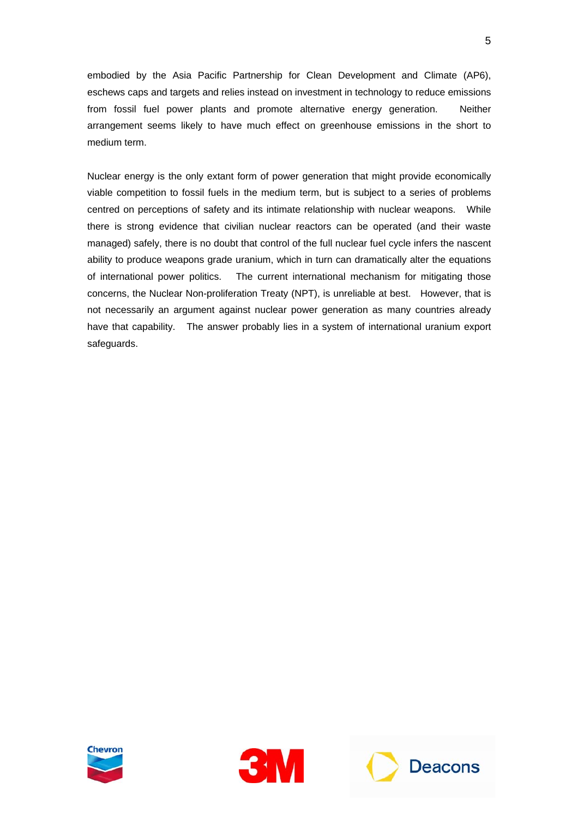embodied by the Asia Pacific Partnership for Clean Development and Climate (AP6), eschews caps and targets and relies instead on investment in technology to reduce emissions from fossil fuel power plants and promote alternative energy generation. Neither arrangement seems likely to have much effect on greenhouse emissions in the short to medium term.

Nuclear energy is the only extant form of power generation that might provide economically viable competition to fossil fuels in the medium term, but is subject to a series of problems centred on perceptions of safety and its intimate relationship with nuclear weapons. While there is strong evidence that civilian nuclear reactors can be operated (and their waste managed) safely, there is no doubt that control of the full nuclear fuel cycle infers the nascent ability to produce weapons grade uranium, which in turn can dramatically alter the equations of international power politics. The current international mechanism for mitigating those concerns, the Nuclear Non-proliferation Treaty (NPT), is unreliable at best. However, that is not necessarily an argument against nuclear power generation as many countries already have that capability. The answer probably lies in a system of international uranium export safeguards.





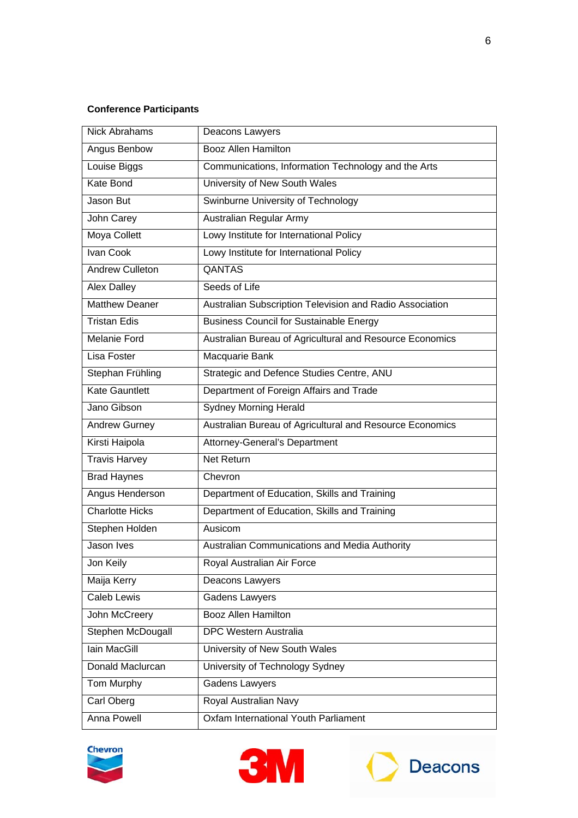## **Conference Participants**

| <b>Nick Abrahams</b>   | Deacons Lawyers                                          |
|------------------------|----------------------------------------------------------|
| Angus Benbow           | <b>Booz Allen Hamilton</b>                               |
| Louise Biggs           | Communications, Information Technology and the Arts      |
| Kate Bond              | University of New South Wales                            |
| Jason But              | Swinburne University of Technology                       |
| John Carey             | Australian Regular Army                                  |
| <b>Moya Collett</b>    | Lowy Institute for International Policy                  |
| Ivan Cook              | Lowy Institute for International Policy                  |
| <b>Andrew Culleton</b> | <b>QANTAS</b>                                            |
| <b>Alex Dalley</b>     | Seeds of Life                                            |
| Matthew Deaner         | Australian Subscription Television and Radio Association |
| <b>Tristan Edis</b>    | <b>Business Council for Sustainable Energy</b>           |
| <b>Melanie Ford</b>    | Australian Bureau of Agricultural and Resource Economics |
| Lisa Foster            | Macquarie Bank                                           |
| Stephan Frühling       | Strategic and Defence Studies Centre, ANU                |
| <b>Kate Gauntlett</b>  | Department of Foreign Affairs and Trade                  |
| Jano Gibson            | <b>Sydney Morning Herald</b>                             |
| <b>Andrew Gurney</b>   | Australian Bureau of Agricultural and Resource Economics |
| Kirsti Haipola         | Attorney-General's Department                            |
| <b>Travis Harvey</b>   | <b>Net Return</b>                                        |
| <b>Brad Haynes</b>     | Chevron                                                  |
| Angus Henderson        | Department of Education, Skills and Training             |
| <b>Charlotte Hicks</b> | Department of Education, Skills and Training             |
| Stephen Holden         | Ausicom                                                  |
| Jason Ives             | Australian Communications and Media Authority            |
| Jon Keily              | Royal Australian Air Force                               |
| Maija Kerry            | Deacons Lawyers                                          |
| Caleb Lewis            | <b>Gadens Lawyers</b>                                    |
| John McCreery          | <b>Booz Allen Hamilton</b>                               |
| Stephen McDougall      | <b>DPC Western Australia</b>                             |
| lain MacGill           | University of New South Wales                            |
| Donald Maclurcan       | University of Technology Sydney                          |
| Tom Murphy             | <b>Gadens Lawyers</b>                                    |
| Carl Oberg             | Royal Australian Navy                                    |
| <b>Anna Powell</b>     | Oxfam International Youth Parliament                     |